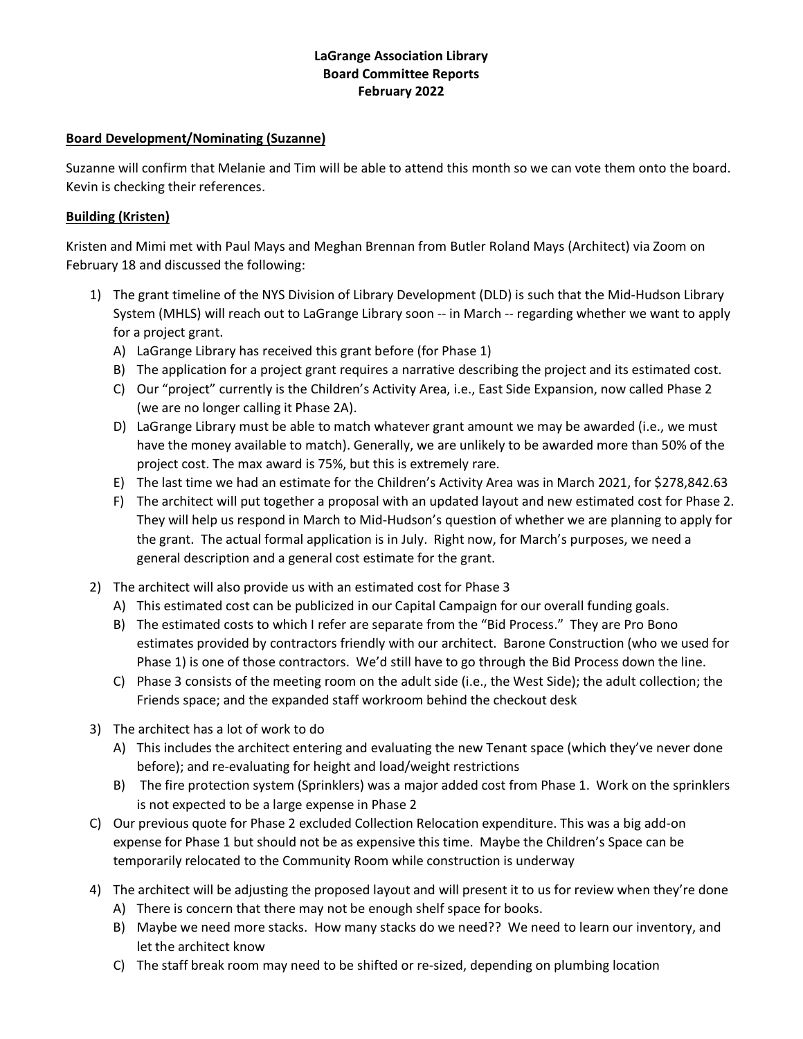## **LaGrange Association Library Board Committee Reports February 2022**

### **Board Development/Nominating (Suzanne)**

Suzanne will confirm that Melanie and Tim will be able to attend this month so we can vote them onto the board. Kevin is checking their references.

## **Building (Kristen)**

Kristen and Mimi met with Paul Mays and Meghan Brennan from Butler Roland Mays (Architect) via Zoom on February 18 and discussed the following:

- 1) The grant timeline of the NYS Division of Library Development (DLD) is such that the Mid-Hudson Library System (MHLS) will reach out to LaGrange Library soon -- in March -- regarding whether we want to apply for a project grant.
	- A) LaGrange Library has received this grant before (for Phase 1)
	- B) The application for a project grant requires a narrative describing the project and its estimated cost.
	- C) Our "project" currently is the Children's Activity Area, i.e., East Side Expansion, now called Phase 2 (we are no longer calling it Phase 2A).
	- D) LaGrange Library must be able to match whatever grant amount we may be awarded (i.e., we must have the money available to match). Generally, we are unlikely to be awarded more than 50% of the project cost. The max award is 75%, but this is extremely rare.
	- E) The last time we had an estimate for the Children's Activity Area was in March 2021, for \$278,842.63
	- F) The architect will put together a proposal with an updated layout and new estimated cost for Phase 2. They will help us respond in March to Mid-Hudson's question of whether we are planning to apply for the grant. The actual formal application is in July. Right now, for March's purposes, we need a general description and a general cost estimate for the grant.
- 2) The architect will also provide us with an estimated cost for Phase 3
	- A) This estimated cost can be publicized in our Capital Campaign for our overall funding goals.
	- B) The estimated costs to which I refer are separate from the "Bid Process." They are Pro Bono estimates provided by contractors friendly with our architect. Barone Construction (who we used for Phase 1) is one of those contractors. We'd still have to go through the Bid Process down the line.
	- C) Phase 3 consists of the meeting room on the adult side (i.e., the West Side); the adult collection; the Friends space; and the expanded staff workroom behind the checkout desk
- 3) The architect has a lot of work to do
	- A) This includes the architect entering and evaluating the new Tenant space (which they've never done before); and re-evaluating for height and load/weight restrictions
	- B) The fire protection system (Sprinklers) was a major added cost from Phase 1. Work on the sprinklers is not expected to be a large expense in Phase 2
- C) Our previous quote for Phase 2 excluded Collection Relocation expenditure. This was a big add-on expense for Phase 1 but should not be as expensive this time. Maybe the Children's Space can be temporarily relocated to the Community Room while construction is underway
- 4) The architect will be adjusting the proposed layout and will present it to us for review when they're done
	- A) There is concern that there may not be enough shelf space for books.
	- B) Maybe we need more stacks. How many stacks do we need?? We need to learn our inventory, and let the architect know
	- C) The staff break room may need to be shifted or re-sized, depending on plumbing location